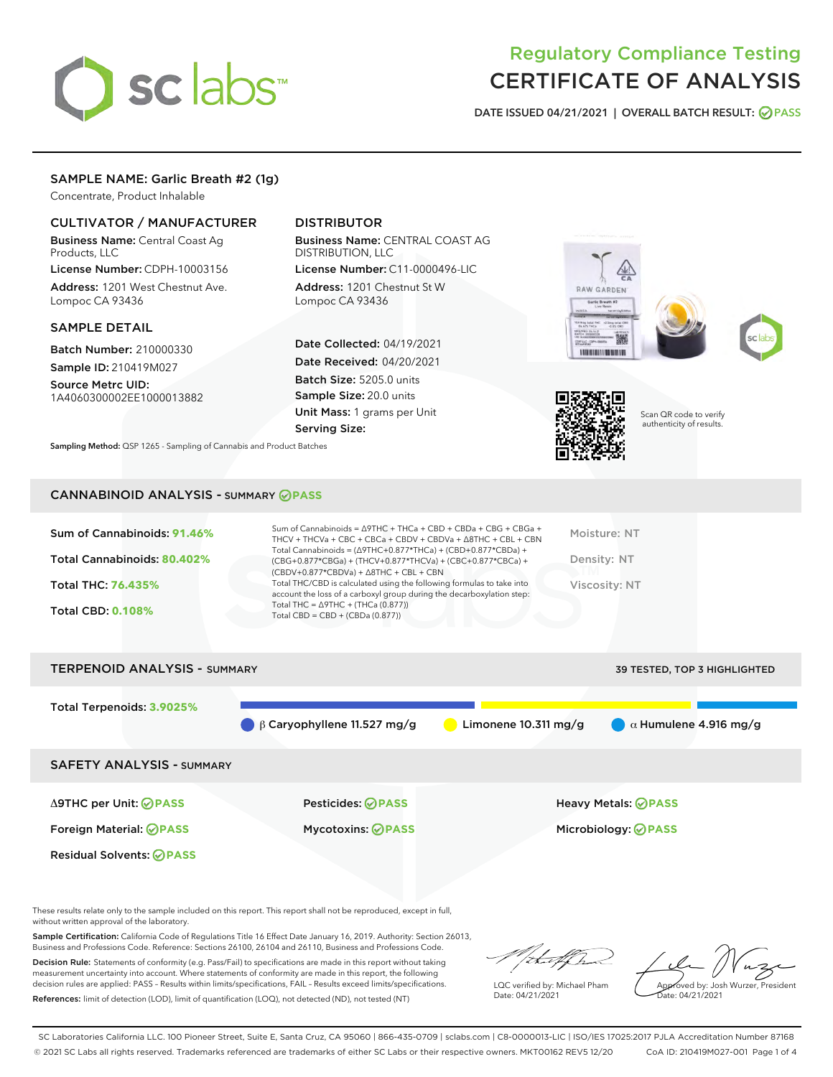# sclabs<sup>\*</sup>

## Regulatory Compliance Testing CERTIFICATE OF ANALYSIS

DATE ISSUED 04/21/2021 | OVERALL BATCH RESULT: @ PASS

#### SAMPLE NAME: Garlic Breath #2 (1g)

Concentrate, Product Inhalable

#### CULTIVATOR / MANUFACTURER

Business Name: Central Coast Ag Products, LLC

License Number: CDPH-10003156 Address: 1201 West Chestnut Ave. Lompoc CA 93436

#### SAMPLE DETAIL

Batch Number: 210000330 Sample ID: 210419M027

Source Metrc UID: 1A4060300002EE1000013882

### DISTRIBUTOR

Business Name: CENTRAL COAST AG DISTRIBUTION, LLC

License Number: C11-0000496-LIC Address: 1201 Chestnut St W Lompoc CA 93436

Date Collected: 04/19/2021 Date Received: 04/20/2021 Batch Size: 5205.0 units Sample Size: 20.0 units Unit Mass: 1 grams per Unit Serving Size:

Sampling Method: QSP 1265 - Sampling of Cannabis and Product Batches







Scan QR code to verify authenticity of results.

#### CANNABINOID ANALYSIS - SUMMARY **PASS**

| Sum of Cannabinoids: 91.46%<br>Total Cannabinoids: 80.402%<br>Total THC: 76.435%<br><b>Total CBD: 0.108%</b> | Sum of Cannabinoids = $\triangle$ 9THC + THCa + CBD + CBDa + CBG + CBGa +<br>THCV + THCVa + CBC + CBCa + CBDV + CBDVa + $\land$ 8THC + CBL + CBN<br>Total Cannabinoids = $(\Delta$ 9THC+0.877*THCa) + (CBD+0.877*CBDa) +<br>(CBG+0.877*CBGa) + (THCV+0.877*THCVa) + (CBC+0.877*CBCa) +<br>$(CBDV+0.877*CBDVa) + \Delta 8THC + CBL + CBN$<br>Total THC/CBD is calculated using the following formulas to take into<br>account the loss of a carboxyl group during the decarboxylation step:<br>Total THC = $\triangle$ 9THC + (THCa (0.877))<br>Total CBD = $CBD + (CBDa (0.877))$ | Moisture: NT<br>Density: NT<br>Viscosity: NT |
|--------------------------------------------------------------------------------------------------------------|-----------------------------------------------------------------------------------------------------------------------------------------------------------------------------------------------------------------------------------------------------------------------------------------------------------------------------------------------------------------------------------------------------------------------------------------------------------------------------------------------------------------------------------------------------------------------------------|----------------------------------------------|
| <b>TERPENOID ANALYSIS - SUMMARY</b>                                                                          |                                                                                                                                                                                                                                                                                                                                                                                                                                                                                                                                                                                   | 39 TESTED, TOP 3 HIGHLIGHTED                 |

| Total Terpenoids: 3.9025%        | $\beta$ Garyophyllene 11.527 mg/g | Limonene $10.311 \text{ mg/g}$ | $\alpha$ Humulene 4.916 mg/g |
|----------------------------------|-----------------------------------|--------------------------------|------------------------------|
|                                  |                                   |                                |                              |
| <b>SAFETY ANALYSIS - SUMMARY</b> |                                   |                                |                              |
|                                  |                                   |                                |                              |
| ∆9THC per Unit: ⊘PASS            | <b>Pesticides: ⊘PASS</b>          |                                | Heavy Metals: <b>OPASS</b>   |
| Foreign Material: <b>⊘PASS</b>   | <b>Mycotoxins: ⊘PASS</b>          |                                | Microbiology: <b>⊘PASS</b>   |
| <b>Residual Solvents: ⊘PASS</b>  |                                   |                                |                              |

These results relate only to the sample included on this report. This report shall not be reproduced, except in full, without written approval of the laboratory.

Sample Certification: California Code of Regulations Title 16 Effect Date January 16, 2019. Authority: Section 26013, Business and Professions Code. Reference: Sections 26100, 26104 and 26110, Business and Professions Code.

Decision Rule: Statements of conformity (e.g. Pass/Fail) to specifications are made in this report without taking measurement uncertainty into account. Where statements of conformity are made in this report, the following decision rules are applied: PASS – Results within limits/specifications, FAIL – Results exceed limits/specifications. References: limit of detection (LOD), limit of quantification (LOQ), not detected (ND), not tested (NT)

that f h

LQC verified by: Michael Pham Date: 04/21/2021

Approved by: Josh Wurzer, President Date: 04/21/2021

SC Laboratories California LLC. 100 Pioneer Street, Suite E, Santa Cruz, CA 95060 | 866-435-0709 | sclabs.com | C8-0000013-LIC | ISO/IES 17025:2017 PJLA Accreditation Number 87168 © 2021 SC Labs all rights reserved. Trademarks referenced are trademarks of either SC Labs or their respective owners. MKT00162 REV5 12/20 CoA ID: 210419M027-001 Page 1 of 4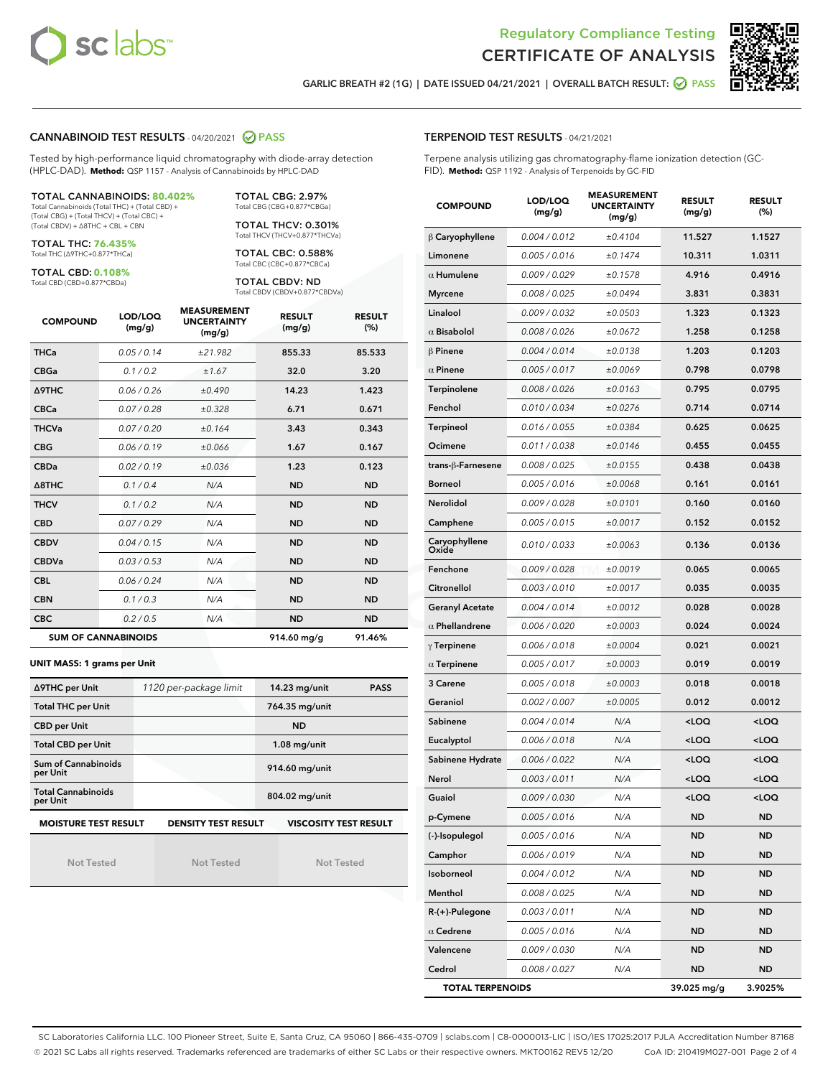



GARLIC BREATH #2 (1G) | DATE ISSUED 04/21/2021 | OVERALL BATCH RESULT: 2 PASS

#### CANNABINOID TEST RESULTS - 04/20/2021 2 PASS

Tested by high-performance liquid chromatography with diode-array detection (HPLC-DAD). **Method:** QSP 1157 - Analysis of Cannabinoids by HPLC-DAD

#### TOTAL CANNABINOIDS: **80.402%** Total Cannabinoids (Total THC) + (Total CBD) +

(Total CBG) + (Total THCV) + (Total CBC) + (Total CBDV) + ∆8THC + CBL + CBN

TOTAL THC: **76.435%** Total THC (∆9THC+0.877\*THCa)

TOTAL CBD: **0.108%**

Total CBD (CBD+0.877\*CBDa)

TOTAL CBG: 2.97% Total CBG (CBG+0.877\*CBGa)

TOTAL THCV: 0.301% Total THCV (THCV+0.877\*THCVa)

TOTAL CBC: 0.588% Total CBC (CBC+0.877\*CBCa)

TOTAL CBDV: ND Total CBDV (CBDV+0.877\*CBDVa)

| <b>COMPOUND</b>  | LOD/LOQ<br>(mg/g)          | <b>MEASUREMENT</b><br><b>UNCERTAINTY</b><br>(mg/g) | <b>RESULT</b><br>(mg/g) | <b>RESULT</b><br>(%) |
|------------------|----------------------------|----------------------------------------------------|-------------------------|----------------------|
| <b>THCa</b>      | 0.05/0.14                  | ±21.982                                            | 855.33                  | 85.533               |
| <b>CBGa</b>      | 0.1/0.2                    | ±1.67                                              | 32.0                    | 3.20                 |
| <b>A9THC</b>     | 0.06 / 0.26                | ±0.490                                             | 14.23                   | 1.423                |
| <b>CBCa</b>      | 0.07 / 0.28                | ±0.328                                             | 6.71                    | 0.671                |
| <b>THCVa</b>     | 0.07/0.20                  | ±0.164                                             | 3.43                    | 0.343                |
| <b>CBG</b>       | 0.06/0.19                  | ±0.066                                             | 1.67                    | 0.167                |
| <b>CBDa</b>      | 0.02/0.19                  | ±0.036                                             | 1.23                    | 0.123                |
| $\triangle$ 8THC | 0.1/0.4                    | N/A                                                | <b>ND</b>               | <b>ND</b>            |
| <b>THCV</b>      | 0.1/0.2                    | N/A                                                | <b>ND</b>               | <b>ND</b>            |
| <b>CBD</b>       | 0.07/0.29                  | N/A                                                | <b>ND</b>               | <b>ND</b>            |
| <b>CBDV</b>      | 0.04 / 0.15                | N/A                                                | <b>ND</b>               | <b>ND</b>            |
| <b>CBDVa</b>     | 0.03/0.53                  | N/A                                                | <b>ND</b>               | <b>ND</b>            |
| <b>CBL</b>       | 0.06 / 0.24                | N/A                                                | <b>ND</b>               | <b>ND</b>            |
| <b>CBN</b>       | 0.1/0.3                    | N/A                                                | <b>ND</b>               | <b>ND</b>            |
| <b>CBC</b>       | 0.2 / 0.5                  | N/A                                                | <b>ND</b>               | <b>ND</b>            |
|                  | <b>SUM OF CANNABINOIDS</b> |                                                    | 914.60 mg/g             | 91.46%               |

#### **UNIT MASS: 1 grams per Unit**

| ∆9THC per Unit                        | 1120 per-package limit                                     | 14.23 mg/unit<br><b>PASS</b> |  |
|---------------------------------------|------------------------------------------------------------|------------------------------|--|
| <b>Total THC per Unit</b>             |                                                            | 764.35 mg/unit               |  |
| <b>CBD per Unit</b>                   |                                                            | <b>ND</b>                    |  |
| <b>Total CBD per Unit</b>             |                                                            | $1.08$ mg/unit               |  |
| Sum of Cannabinoids<br>per Unit       |                                                            | 914.60 mg/unit               |  |
| <b>Total Cannabinoids</b><br>per Unit |                                                            | 804.02 mg/unit               |  |
| <b>MOISTURE TEST RESULT</b>           | <b>VISCOSITY TEST RESULT</b><br><b>DENSITY TEST RESULT</b> |                              |  |

**MOISTURE TEST RESULT**

Not Tested

Not Tested

Not Tested

#### TERPENOID TEST RESULTS - 04/21/2021

Terpene analysis utilizing gas chromatography-flame ionization detection (GC-FID). **Method:** QSP 1192 - Analysis of Terpenoids by GC-FID

| <b>COMPOUND</b>         | LOD/LOQ<br>(mg/g) | <b>MEASUREMENT</b><br><b>UNCERTAINTY</b><br>(mg/g) | <b>RESULT</b><br>(mg/g)                         | <b>RESULT</b><br>(%) |
|-------------------------|-------------------|----------------------------------------------------|-------------------------------------------------|----------------------|
| $\beta$ Caryophyllene   | 0.004 / 0.012     | ±0.4104                                            | 11.527                                          | 1.1527               |
| Limonene                | 0.005 / 0.016     | ±0.1474                                            | 10.311                                          | 1.0311               |
| $\alpha$ Humulene       | 0.009/0.029       | ±0.1578                                            | 4.916                                           | 0.4916               |
| <b>Myrcene</b>          | 0.008 / 0.025     | ±0.0494                                            | 3.831                                           | 0.3831               |
| Linalool                | 0.009 / 0.032     | ±0.0503                                            | 1.323                                           | 0.1323               |
| $\alpha$ Bisabolol      | 0.008 / 0.026     | ±0.0672                                            | 1.258                                           | 0.1258               |
| $\beta$ Pinene          | 0.004 / 0.014     | ±0.0138                                            | 1.203                                           | 0.1203               |
| $\alpha$ Pinene         | 0.005 / 0.017     | ±0.0069                                            | 0.798                                           | 0.0798               |
| Terpinolene             | 0.008 / 0.026     | ±0.0163                                            | 0.795                                           | 0.0795               |
| Fenchol                 | 0.010 / 0.034     | ±0.0276                                            | 0.714                                           | 0.0714               |
| Terpineol               | 0.016 / 0.055     | ±0.0384                                            | 0.625                                           | 0.0625               |
| Ocimene                 | 0.011 / 0.038     | ±0.0146                                            | 0.455                                           | 0.0455               |
| trans-β-Farnesene       | 0.008 / 0.025     | ±0.0155                                            | 0.438                                           | 0.0438               |
| <b>Borneol</b>          | 0.005 / 0.016     | ±0.0068                                            | 0.161                                           | 0.0161               |
| Nerolidol               | 0.009 / 0.028     | ±0.0101                                            | 0.160                                           | 0.0160               |
| Camphene                | 0.005 / 0.015     | ±0.0017                                            | 0.152                                           | 0.0152               |
| Caryophyllene<br>Oxide  | 0.010 / 0.033     | ±0.0063                                            | 0.136                                           | 0.0136               |
| Fenchone                | 0.009 / 0.028     | ±0.0019                                            | 0.065                                           | 0.0065               |
| Citronellol             | 0.003 / 0.010     | ±0.0017                                            | 0.035                                           | 0.0035               |
| <b>Geranyl Acetate</b>  | 0.004 / 0.014     | ±0.0012                                            | 0.028                                           | 0.0028               |
| $\alpha$ Phellandrene   | 0.006 / 0.020     | ±0.0003                                            | 0.024                                           | 0.0024               |
| $\gamma$ Terpinene      | 0.006 / 0.018     | ±0.0004                                            | 0.021                                           | 0.0021               |
| $\alpha$ Terpinene      | 0.005 / 0.017     | ±0.0003                                            | 0.019                                           | 0.0019               |
| 3 Carene                | 0.005 / 0.018     | ±0.0003                                            | 0.018                                           | 0.0018               |
| Geraniol                | 0.002 / 0.007     | ±0.0005                                            | 0.012                                           | 0.0012               |
| Sabinene                | 0.004 / 0.014     | N/A                                                | <loq< th=""><th><loq< th=""></loq<></th></loq<> | <loq< th=""></loq<>  |
| Eucalyptol              | 0.006 / 0.018     | N/A                                                | <loq< th=""><th><loq< th=""></loq<></th></loq<> | <loq< th=""></loq<>  |
| Sabinene Hydrate        | 0.006 / 0.022     | N/A                                                | <loq< th=""><th><loq< th=""></loq<></th></loq<> | <loq< th=""></loq<>  |
| Nerol                   | 0.003 / 0.011     | N/A                                                | <loq< th=""><th><loq< th=""></loq<></th></loq<> | <loq< th=""></loq<>  |
| Guaiol                  | 0.009 / 0.030     | N/A                                                | <loq< th=""><th><loq< th=""></loq<></th></loq<> | <loq< th=""></loq<>  |
| p-Cymene                | 0.005 / 0.016     | N/A                                                | ND                                              | ND                   |
| (-)-Isopulegol          | 0.005 / 0.016     | N/A                                                | ND                                              | ND                   |
| Camphor                 | 0.006 / 0.019     | N/A                                                | <b>ND</b>                                       | ND                   |
| Isoborneol              | 0.004 / 0.012     | N/A                                                | <b>ND</b>                                       | <b>ND</b>            |
| Menthol                 | 0.008 / 0.025     | N/A                                                | ND                                              | ND                   |
| R-(+)-Pulegone          | 0.003 / 0.011     | N/A                                                | <b>ND</b>                                       | ND                   |
| $\alpha$ Cedrene        | 0.005 / 0.016     | N/A                                                | <b>ND</b>                                       | <b>ND</b>            |
| Valencene               | 0.009 / 0.030     | N/A                                                | ND                                              | ND                   |
| Cedrol                  | 0.008 / 0.027     | N/A                                                | <b>ND</b>                                       | ND                   |
| <b>TOTAL TERPENOIDS</b> |                   |                                                    | 39.025 mg/g                                     | 3.9025%              |

SC Laboratories California LLC. 100 Pioneer Street, Suite E, Santa Cruz, CA 95060 | 866-435-0709 | sclabs.com | C8-0000013-LIC | ISO/IES 17025:2017 PJLA Accreditation Number 87168 © 2021 SC Labs all rights reserved. Trademarks referenced are trademarks of either SC Labs or their respective owners. MKT00162 REV5 12/20 CoA ID: 210419M027-001 Page 2 of 4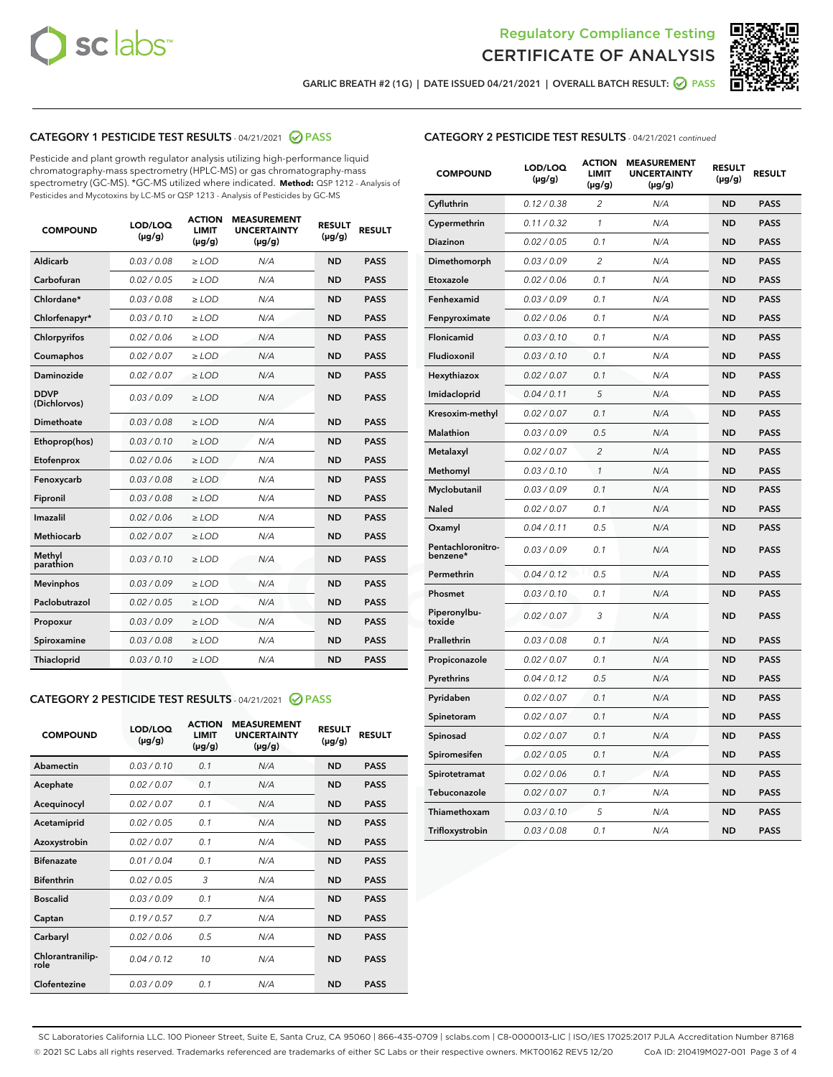



GARLIC BREATH #2 (1G) | DATE ISSUED 04/21/2021 | OVERALL BATCH RESULT: @ PASS

#### CATEGORY 1 PESTICIDE TEST RESULTS - 04/21/2021 @ PASS

Pesticide and plant growth regulator analysis utilizing high-performance liquid chromatography-mass spectrometry (HPLC-MS) or gas chromatography-mass spectrometry (GC-MS). \*GC-MS utilized where indicated. **Method:** QSP 1212 - Analysis of Pesticides and Mycotoxins by LC-MS or QSP 1213 - Analysis of Pesticides by GC-MS

| <b>COMPOUND</b>             | LOD/LOQ<br>$(\mu g/g)$ | <b>ACTION</b><br><b>LIMIT</b><br>$(\mu g/g)$ | <b>MEASUREMENT</b><br><b>UNCERTAINTY</b><br>$(\mu g/g)$ | <b>RESULT</b><br>$(\mu g/g)$ | <b>RESULT</b> |
|-----------------------------|------------------------|----------------------------------------------|---------------------------------------------------------|------------------------------|---------------|
| Aldicarb                    | 0.03 / 0.08            | $\ge$ LOD                                    | N/A                                                     | <b>ND</b>                    | <b>PASS</b>   |
| Carbofuran                  | 0.02/0.05              | $>$ LOD                                      | N/A                                                     | <b>ND</b>                    | <b>PASS</b>   |
| Chlordane*                  | 0.03 / 0.08            | $\ge$ LOD                                    | N/A                                                     | <b>ND</b>                    | <b>PASS</b>   |
| Chlorfenapyr*               | 0.03/0.10              | $>$ LOD                                      | N/A                                                     | <b>ND</b>                    | <b>PASS</b>   |
| Chlorpyrifos                | 0.02 / 0.06            | $\ge$ LOD                                    | N/A                                                     | <b>ND</b>                    | <b>PASS</b>   |
| Coumaphos                   | 0.02 / 0.07            | $\ge$ LOD                                    | N/A                                                     | <b>ND</b>                    | <b>PASS</b>   |
| Daminozide                  | 0.02 / 0.07            | $\ge$ LOD                                    | N/A                                                     | <b>ND</b>                    | <b>PASS</b>   |
| <b>DDVP</b><br>(Dichlorvos) | 0.03/0.09              | $\ge$ LOD                                    | N/A                                                     | <b>ND</b>                    | <b>PASS</b>   |
| Dimethoate                  | 0.03/0.08              | $>$ LOD                                      | N/A                                                     | <b>ND</b>                    | <b>PASS</b>   |
| Ethoprop(hos)               | 0.03/0.10              | $\ge$ LOD                                    | N/A                                                     | <b>ND</b>                    | <b>PASS</b>   |
| Etofenprox                  | 0.02 / 0.06            | $\ge$ LOD                                    | N/A                                                     | <b>ND</b>                    | <b>PASS</b>   |
| Fenoxycarb                  | 0.03 / 0.08            | $\ge$ LOD                                    | N/A                                                     | <b>ND</b>                    | <b>PASS</b>   |
| Fipronil                    | 0.03/0.08              | $>$ LOD                                      | N/A                                                     | <b>ND</b>                    | <b>PASS</b>   |
| Imazalil                    | 0.02 / 0.06            | $\ge$ LOD                                    | N/A                                                     | <b>ND</b>                    | <b>PASS</b>   |
| Methiocarb                  | 0.02 / 0.07            | $\ge$ LOD                                    | N/A                                                     | <b>ND</b>                    | <b>PASS</b>   |
| Methyl<br>parathion         | 0.03/0.10              | $\ge$ LOD                                    | N/A                                                     | <b>ND</b>                    | <b>PASS</b>   |
| <b>Mevinphos</b>            | 0.03/0.09              | $>$ LOD                                      | N/A                                                     | <b>ND</b>                    | <b>PASS</b>   |
| Paclobutrazol               | 0.02 / 0.05            | $\ge$ LOD                                    | N/A                                                     | <b>ND</b>                    | <b>PASS</b>   |
| Propoxur                    | 0.03/0.09              | $\ge$ LOD                                    | N/A                                                     | <b>ND</b>                    | <b>PASS</b>   |
| Spiroxamine                 | 0.03 / 0.08            | $\ge$ LOD                                    | N/A                                                     | <b>ND</b>                    | <b>PASS</b>   |
| Thiacloprid                 | 0.03/0.10              | $\ge$ LOD                                    | N/A                                                     | <b>ND</b>                    | <b>PASS</b>   |

#### CATEGORY 2 PESTICIDE TEST RESULTS - 04/21/2021 @ PASS

| <b>COMPOUND</b>          | LOD/LOQ<br>$(\mu g/g)$ | <b>ACTION</b><br><b>LIMIT</b><br>$(\mu g/g)$ | <b>MEASUREMENT</b><br><b>UNCERTAINTY</b><br>$(\mu g/g)$ | <b>RESULT</b><br>$(\mu g/g)$ | <b>RESULT</b> |
|--------------------------|------------------------|----------------------------------------------|---------------------------------------------------------|------------------------------|---------------|
| Abamectin                | 0.03/0.10              | 0.1                                          | N/A                                                     | <b>ND</b>                    | <b>PASS</b>   |
| Acephate                 | 0.02/0.07              | 0.1                                          | N/A                                                     | <b>ND</b>                    | <b>PASS</b>   |
| Acequinocyl              | 0.02/0.07              | 0.1                                          | N/A                                                     | <b>ND</b>                    | <b>PASS</b>   |
| Acetamiprid              | 0.02/0.05              | 0.1                                          | N/A                                                     | <b>ND</b>                    | <b>PASS</b>   |
| Azoxystrobin             | 0.02/0.07              | 0.1                                          | N/A                                                     | <b>ND</b>                    | <b>PASS</b>   |
| <b>Bifenazate</b>        | 0.01/0.04              | 0.1                                          | N/A                                                     | <b>ND</b>                    | <b>PASS</b>   |
| <b>Bifenthrin</b>        | 0.02 / 0.05            | 3                                            | N/A                                                     | <b>ND</b>                    | <b>PASS</b>   |
| <b>Boscalid</b>          | 0.03/0.09              | 0.1                                          | N/A                                                     | <b>ND</b>                    | <b>PASS</b>   |
| Captan                   | 0.19/0.57              | 0.7                                          | N/A                                                     | <b>ND</b>                    | <b>PASS</b>   |
| Carbaryl                 | 0.02/0.06              | 0.5                                          | N/A                                                     | <b>ND</b>                    | <b>PASS</b>   |
| Chlorantranilip-<br>role | 0.04/0.12              | 10                                           | N/A                                                     | <b>ND</b>                    | <b>PASS</b>   |
| Clofentezine             | 0.03/0.09              | 0.1                                          | N/A                                                     | <b>ND</b>                    | <b>PASS</b>   |

#### CATEGORY 2 PESTICIDE TEST RESULTS - 04/21/2021 continued

| <b>COMPOUND</b>               | LOD/LOQ<br>(µg/g) | <b>ACTION</b><br><b>LIMIT</b><br>$(\mu g/g)$ | <b>MEASUREMENT</b><br><b>UNCERTAINTY</b><br>$(\mu g/g)$ | <b>RESULT</b><br>(µg/g) | <b>RESULT</b> |
|-------------------------------|-------------------|----------------------------------------------|---------------------------------------------------------|-------------------------|---------------|
| Cyfluthrin                    | 0.12 / 0.38       | $\overline{c}$                               | N/A                                                     | ND                      | <b>PASS</b>   |
| Cypermethrin                  | 0.11 / 0.32       | $\mathcal{I}$                                | N/A                                                     | ND                      | <b>PASS</b>   |
| <b>Diazinon</b>               | 0.02 / 0.05       | 0.1                                          | N/A                                                     | <b>ND</b>               | <b>PASS</b>   |
| Dimethomorph                  | 0.03 / 0.09       | 2                                            | N/A                                                     | ND                      | <b>PASS</b>   |
| Etoxazole                     | 0.02 / 0.06       | 0.1                                          | N/A                                                     | ND                      | <b>PASS</b>   |
| Fenhexamid                    | 0.03 / 0.09       | 0.1                                          | N/A                                                     | ND                      | <b>PASS</b>   |
| Fenpyroximate                 | 0.02 / 0.06       | 0.1                                          | N/A                                                     | <b>ND</b>               | <b>PASS</b>   |
| Flonicamid                    | 0.03 / 0.10       | 0.1                                          | N/A                                                     | ND                      | <b>PASS</b>   |
| Fludioxonil                   | 0.03 / 0.10       | 0.1                                          | N/A                                                     | ND                      | <b>PASS</b>   |
| Hexythiazox                   | 0.02 / 0.07       | 0.1                                          | N/A                                                     | ND                      | <b>PASS</b>   |
| Imidacloprid                  | 0.04 / 0.11       | 5                                            | N/A                                                     | ND                      | <b>PASS</b>   |
| Kresoxim-methyl               | 0.02 / 0.07       | 0.1                                          | N/A                                                     | ND                      | <b>PASS</b>   |
| Malathion                     | 0.03 / 0.09       | 0.5                                          | N/A                                                     | ND                      | <b>PASS</b>   |
| Metalaxyl                     | 0.02 / 0.07       | $\overline{c}$                               | N/A                                                     | ND                      | <b>PASS</b>   |
| Methomyl                      | 0.03 / 0.10       | $\mathbf{1}$                                 | N/A                                                     | ND                      | <b>PASS</b>   |
| Myclobutanil                  | 0.03 / 0.09       | 0.1                                          | N/A                                                     | <b>ND</b>               | <b>PASS</b>   |
| Naled                         | 0.02 / 0.07       | 0.1                                          | N/A                                                     | ND                      | <b>PASS</b>   |
| Oxamyl                        | 0.04 / 0.11       | 0.5                                          | N/A                                                     | ND                      | PASS          |
| Pentachloronitro-<br>benzene* | 0.03 / 0.09       | 0.1                                          | N/A                                                     | ND                      | <b>PASS</b>   |
| Permethrin                    | 0.04 / 0.12       | 0.5                                          | N/A                                                     | ND                      | <b>PASS</b>   |
| Phosmet                       | 0.03 / 0.10       | 0.1                                          | N/A                                                     | ND                      | <b>PASS</b>   |
| Piperonylbu-<br>toxide        | 0.02 / 0.07       | 3                                            | N/A                                                     | <b>ND</b>               | <b>PASS</b>   |
| Prallethrin                   | 0.03 / 0.08       | 0.1                                          | N/A                                                     | ND                      | <b>PASS</b>   |
| Propiconazole                 | 0.02 / 0.07       | 0.1                                          | N/A                                                     | <b>ND</b>               | <b>PASS</b>   |
| Pyrethrins                    | 0.04 / 0.12       | 0.5                                          | N/A                                                     | ND                      | <b>PASS</b>   |
| Pyridaben                     | 0.02 / 0.07       | 0.1                                          | N/A                                                     | <b>ND</b>               | <b>PASS</b>   |
| Spinetoram                    | 0.02 / 0.07       | 0.1                                          | N/A                                                     | ND                      | <b>PASS</b>   |
| Spinosad                      | 0.02 / 0.07       | 0.1                                          | N/A                                                     | ND                      | <b>PASS</b>   |
| Spiromesifen                  | 0.02 / 0.05       | 0.1                                          | N/A                                                     | <b>ND</b>               | <b>PASS</b>   |
| Spirotetramat                 | 0.02 / 0.06       | 0.1                                          | N/A                                                     | ND                      | <b>PASS</b>   |
| Tebuconazole                  | 0.02 / 0.07       | 0.1                                          | N/A                                                     | ND                      | <b>PASS</b>   |
| Thiamethoxam                  | 0.03 / 0.10       | 5                                            | N/A                                                     | <b>ND</b>               | <b>PASS</b>   |
| Trifloxystrobin               | 0.03 / 0.08       | 0.1                                          | N/A                                                     | <b>ND</b>               | <b>PASS</b>   |

SC Laboratories California LLC. 100 Pioneer Street, Suite E, Santa Cruz, CA 95060 | 866-435-0709 | sclabs.com | C8-0000013-LIC | ISO/IES 17025:2017 PJLA Accreditation Number 87168 © 2021 SC Labs all rights reserved. Trademarks referenced are trademarks of either SC Labs or their respective owners. MKT00162 REV5 12/20 CoA ID: 210419M027-001 Page 3 of 4